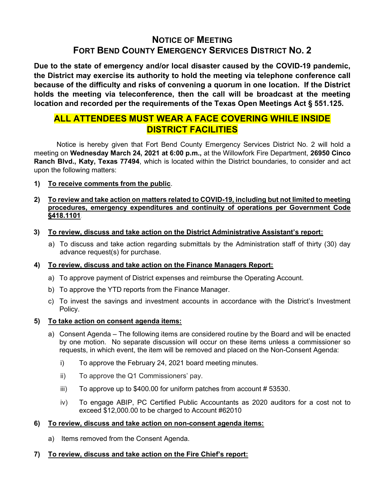# NOTICE OF MEETING FORT BEND COUNTY EMERGENCY SERVICES DISTRICT NO. 2

Due to the state of emergency and/or local disaster caused by the COVID-19 pandemic, the District may exercise its authority to hold the meeting via telephone conference call because of the difficulty and risks of convening a quorum in one location. If the District holds the meeting via teleconference, then the call will be broadcast at the meeting location and recorded per the requirements of the Texas Open Meetings Act § 551.125.

# ALL ATTENDEES MUST WEAR A FACE COVERING WHILE INSIDE DISTRICT FACILITIES

 Notice is hereby given that Fort Bend County Emergency Services District No. 2 will hold a meeting on Wednesday March 24, 2021 at 6:00 p.m., at the Willowfork Fire Department, 26950 Cinco Ranch Blvd., Katy, Texas 77494, which is located within the District boundaries, to consider and act upon the following matters:

1) To receive comments from the public.

# 2) To review and take action on matters related to COVID-19, including but not limited to meeting procedures, emergency expenditures and continuity of operations per Government Code §418.1101.

- 3) To review, discuss and take action on the District Administrative Assistant's report:
	- a) To discuss and take action regarding submittals by the Administration staff of thirty (30) day advance request(s) for purchase.

# 4) To review, discuss and take action on the Finance Managers Report:

- a) To approve payment of District expenses and reimburse the Operating Account.
- b) To approve the YTD reports from the Finance Manager.
- c) To invest the savings and investment accounts in accordance with the District's Investment Policy.

# 5) To take action on consent agenda items:

- a) Consent Agenda The following items are considered routine by the Board and will be enacted by one motion. No separate discussion will occur on these items unless a commissioner so requests, in which event, the item will be removed and placed on the Non-Consent Agenda:
	- i) To approve the February 24, 2021 board meeting minutes.
	- ii) To approve the Q1 Commissioners' pay.
	- iii) To approve up to  $$400.00$  for uniform patches from account  $# 53530$ .
	- iv) To engage ABIP, PC Certified Public Accountants as 2020 auditors for a cost not to exceed \$12,000.00 to be charged to Account #62010

#### 6) To review, discuss and take action on non-consent agenda items:

a) Items removed from the Consent Agenda.

# 7) To review, discuss and take action on the Fire Chief's report: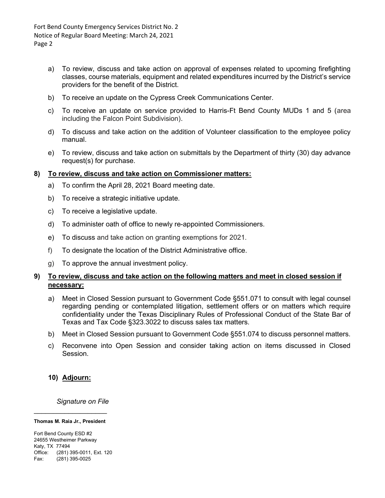Fort Bend County Emergency Services District No. 2 Notice of Regular Board Meeting: March 24, 2021 Page 2

- a) To review, discuss and take action on approval of expenses related to upcoming firefighting classes, course materials, equipment and related expenditures incurred by the District's service providers for the benefit of the District.
- b) To receive an update on the Cypress Creek Communications Center.
- c) To receive an update on service provided to Harris-Ft Bend County MUDs 1 and 5 (area including the Falcon Point Subdivision).
- d) To discuss and take action on the addition of Volunteer classification to the employee policy manual.
- e) To review, discuss and take action on submittals by the Department of thirty (30) day advance request(s) for purchase.

#### 8) To review, discuss and take action on Commissioner matters:

- a) To confirm the April 28, 2021 Board meeting date.
- b) To receive a strategic initiative update.
- c) To receive a legislative update.
- d) To administer oath of office to newly re-appointed Commissioners.
- e) To discuss and take action on granting exemptions for 2021.
- f) To designate the location of the District Administrative office.
- g) To approve the annual investment policy.

# 9) To review, discuss and take action on the following matters and meet in closed session if necessary:

- a) Meet in Closed Session pursuant to Government Code §551.071 to consult with legal counsel regarding pending or contemplated litigation, settlement offers or on matters which require confidentiality under the Texas Disciplinary Rules of Professional Conduct of the State Bar of Texas and Tax Code §323.3022 to discuss sales tax matters.
- b) Meet in Closed Session pursuant to Government Code §551.074 to discuss personnel matters.
- c) Reconvene into Open Session and consider taking action on items discussed in Closed Session.

#### 10) Adjourn:

Signature on File

#### Thomas M. Raia Jr., President

Fort Bend County ESD #2 24655 Westheimer Parkway Katy, TX 77494 Office: (281) 395-0011, Ext. 120 Fax: (281) 395-0025